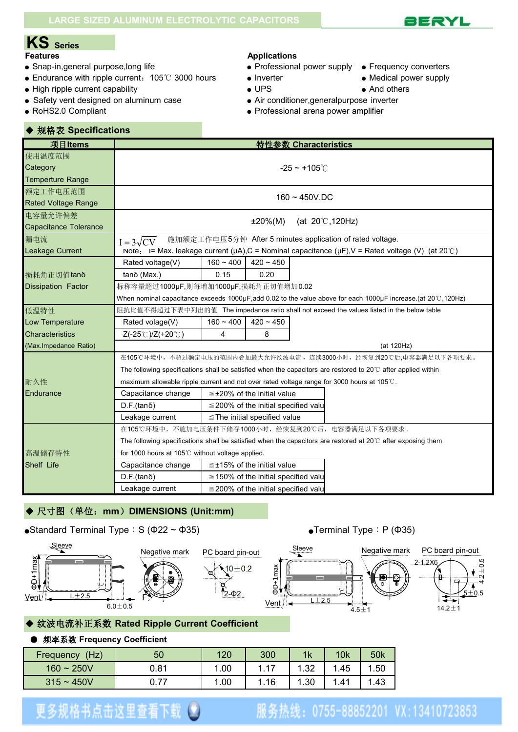

# **KS Series**

- Snap-in,general purpose,long life <br>● Professional power supply Frequency converters
- Endurance with ripple current: 105℃ 3000 hours Inverter Medical power supply
- High ripple current capability  $\bullet$  UPS  $\bullet$  And others

◆ 规格表 **Specifications**

- Safety vent designed on aluminum case <br>• Air conditioner, general purpose inverter
- 

#### **Applications**

- 
- 
- 
- 
- 
- RoHS2.0 Compliant Professional arena power amplifier

| 项目Items                      |                                                                                                                        | 特性参数 Characteristics                                                                                                  |  |  |  |  |  |  |  |  |
|------------------------------|------------------------------------------------------------------------------------------------------------------------|-----------------------------------------------------------------------------------------------------------------------|--|--|--|--|--|--|--|--|
| 使用温度范围                       |                                                                                                                        |                                                                                                                       |  |  |  |  |  |  |  |  |
| Category                     |                                                                                                                        | $-25 - +105^{\circ}$ C                                                                                                |  |  |  |  |  |  |  |  |
| <b>Temperture Range</b>      |                                                                                                                        |                                                                                                                       |  |  |  |  |  |  |  |  |
| 额定工作电压范围                     |                                                                                                                        | $160 - 450V$ .DC                                                                                                      |  |  |  |  |  |  |  |  |
| <b>Rated Voltage Range</b>   |                                                                                                                        |                                                                                                                       |  |  |  |  |  |  |  |  |
| 电容量允许偏差                      |                                                                                                                        | $±20\%(M)$<br>(at $20^{\circ}$ C, 120Hz)                                                                              |  |  |  |  |  |  |  |  |
| <b>Capacitance Tolerance</b> |                                                                                                                        |                                                                                                                       |  |  |  |  |  |  |  |  |
| 漏电流                          | $I = 3\sqrt{CV}$                                                                                                       | 施加额定工作电压5分钟 After 5 minutes application of rated voltage.                                                             |  |  |  |  |  |  |  |  |
| <b>Leakage Current</b>       |                                                                                                                        | Note: I= Max. leakage current ( $\mu$ A), C = Nominal capacitance ( $\mu$ F), V = Rated voltage (V) (at 20°C)         |  |  |  |  |  |  |  |  |
|                              | Rated voltage(V)                                                                                                       | $160 - 400$<br>$420 - 450$                                                                                            |  |  |  |  |  |  |  |  |
| 损耗角正切值tanδ                   | $tan\delta$ (Max.)                                                                                                     | 0.15<br>0.20                                                                                                          |  |  |  |  |  |  |  |  |
| <b>Dissipation Factor</b>    | 标称容量超过1000µF,则每增加1000µF,损耗角正切值增加0.02                                                                                   |                                                                                                                       |  |  |  |  |  |  |  |  |
|                              |                                                                                                                        | When nominal capacitance exceeds 1000µF,add 0.02 to the value above for each 1000µF increase.(at 20℃,120Hz)           |  |  |  |  |  |  |  |  |
| 低温特性                         |                                                                                                                        | 阻抗比值不得超过下表中列出的值 The impedance ratio shall not exceed the values listed in the below table                             |  |  |  |  |  |  |  |  |
| Low Temperature              | Rated volage(V)                                                                                                        | $160 - 400$<br>$420 - 450$                                                                                            |  |  |  |  |  |  |  |  |
| <b>Characteristics</b>       | Z(-25℃)/Z(+20℃)                                                                                                        | 4<br>8                                                                                                                |  |  |  |  |  |  |  |  |
| (Max.Impedance Ratio)        |                                                                                                                        | (at 120Hz)                                                                                                            |  |  |  |  |  |  |  |  |
|                              |                                                                                                                        | 在105℃环境中,不超过额定电压的范围内叠加最大允许纹波电流,连续3000小时,经恢复到20℃后,电容器满足以下各项要求。                                                         |  |  |  |  |  |  |  |  |
|                              |                                                                                                                        | The following specifications shall be satisfied when the capacitors are restored to 20 $\degree$ after applied within |  |  |  |  |  |  |  |  |
| 耐久性                          |                                                                                                                        | maximum allowable ripple current and not over rated voltage range for 3000 hours at 105℃.                             |  |  |  |  |  |  |  |  |
| Endurance                    | Capacitance change                                                                                                     | $\leq$ ±20% of the initial value                                                                                      |  |  |  |  |  |  |  |  |
|                              | $D.F.(tan\delta)$                                                                                                      | $\leq$ 200% of the initial specified valu                                                                             |  |  |  |  |  |  |  |  |
|                              | Leakage current                                                                                                        | $\leq$ The initial specified value                                                                                    |  |  |  |  |  |  |  |  |
|                              |                                                                                                                        | 在105℃环境中,不施加电压条件下储存1000小时,经恢复到20℃后,电容器满足以下各项要求。                                                                       |  |  |  |  |  |  |  |  |
|                              | The following specifications shall be satisfied when the capacitors are restored at 20 $\degree$ C after exposing them |                                                                                                                       |  |  |  |  |  |  |  |  |
| 高温储存特性                       | for 1000 hours at 105℃ without voltage applied.                                                                        |                                                                                                                       |  |  |  |  |  |  |  |  |
| Shelf Life                   | $\leq$ ±15% of the initial value<br>Capacitance change                                                                 |                                                                                                                       |  |  |  |  |  |  |  |  |
|                              | $D.F.(tan\delta)$                                                                                                      | $\leq$ 150% of the initial specified valu                                                                             |  |  |  |  |  |  |  |  |
|                              | Leakage current                                                                                                        | $\leq$ 200% of the initial specified value                                                                            |  |  |  |  |  |  |  |  |

### ◆ 尺寸图(单位: mm) DIMENSIONS (Unit:mm)









### ◆ 纹波电流补正系数 **Rated Ripple Current Coefficient**

#### ● 频率系数 **Frequency Coefficient**

| (Hz)<br>Frequency | 50   | 120 | 300     | 1k   | <b>10k</b> | 50 <sub>k</sub> |
|-------------------|------|-----|---------|------|------------|-----------------|
| $160 - 250V$      | 0.81 | .00 | 47<br>. | 1.32 | . 45       | 1.50            |
| $315 - 450V$      | 0.77 | .00 | .16     | 1.30 | . 41       | 1.43            |

 $10 + 0.2$ 

## 更多规格书点击这里查看下载(\*)

### 服务热线: 0755-88852201 VX:13410723853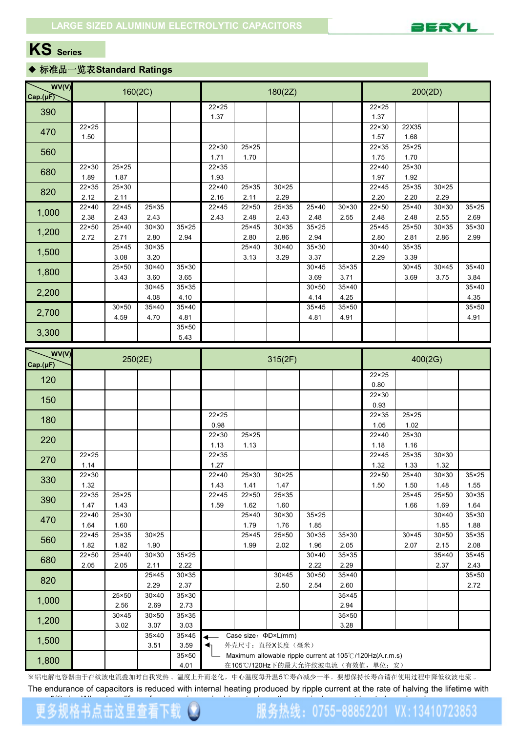

### **KS Series**

#### ◆ 标准品一览表**Standard Ratings**

| WV(V)<br>Cap.(µF) |                        | 160(2C)                      |                        |                           |                                  | 200(2D)                           |                        |                        |                        |                                                          |                        |                        |                        |  |
|-------------------|------------------------|------------------------------|------------------------|---------------------------|----------------------------------|-----------------------------------|------------------------|------------------------|------------------------|----------------------------------------------------------|------------------------|------------------------|------------------------|--|
| 390               |                        |                              |                        |                           | $22 \times 25$                   |                                   |                        |                        |                        | $22 \times 25$                                           |                        |                        |                        |  |
|                   |                        |                              |                        |                           | 1.37                             |                                   |                        |                        |                        | 1.37                                                     |                        |                        |                        |  |
| 470               | $22 \times 25$<br>1.50 |                              |                        |                           |                                  |                                   |                        |                        |                        | 22×30<br>1.57                                            | 22X35<br>1.68          |                        |                        |  |
|                   |                        |                              |                        |                           | 22×30                            | 25×25                             |                        |                        |                        | $22 \times 35$                                           | $25 \times 25$         |                        |                        |  |
| 560               |                        |                              |                        |                           | 1.71                             | 1.70                              |                        |                        |                        | 1.75                                                     | 1.70                   |                        |                        |  |
| 680               | 22×30<br>1.89          | $25 \times 25$<br>1.87       |                        |                           | 22×35<br>1.93                    |                                   |                        |                        |                        | 22×40<br>1.97                                            | 25×30<br>1.92          |                        |                        |  |
|                   | $22 \times 35$         | 25×30                        |                        |                           | 22×40                            | 25×35                             | $30 \times 25$         |                        |                        | $22 \times 45$                                           | 25×35                  | $30 \times 25$         |                        |  |
| 820               | 2.12                   | 2.11                         |                        |                           | 2.16                             | 2.11                              | 2.29                   |                        |                        | 2.20                                                     | 2.20                   | 2.29                   |                        |  |
| 1,000             | 22×40                  | $22 \times 45$               | 25×35                  |                           | $22 \times 45$                   | 22×50                             | 25×35                  | 25×40                  | $30 \times 30$         | $22 \times 50$                                           | 25×40                  | $30 \times 30$         | $35 \times 25$         |  |
|                   | 2.38<br>$22 \times 50$ | 2.43<br>25×40                | 2.43<br>$30 \times 30$ | 35×25                     | 2.43                             | 2.48<br>25×45                     | 2.43<br>30×35          | 2.48<br>$35 \times 25$ | 2.55                   | 2.48<br>25×45                                            | 2.48<br>25×50          | 2.55<br>$30 \times 35$ | 2.69<br>35×30          |  |
| 1,200             | 2.72                   | 2.71                         | 2.80                   | 2.94                      |                                  | 2.80                              | 2.86                   | 2.94                   |                        | 2.80                                                     | 2.81                   | 2.86                   | 2.99                   |  |
| 1,500             |                        | 25×45                        | $30 \times 35$         |                           |                                  | 25×40                             | 30×40                  | 35×30                  |                        | $30 \times 40$                                           | 35×35                  |                        |                        |  |
|                   |                        | 3.08                         | 3.20                   |                           |                                  | 3.13                              | 3.29                   | 3.37                   |                        | 2.29                                                     | 3.39                   |                        |                        |  |
| 1,800             |                        | 25×50<br>3.43                | $30 \times 40$<br>3.60 | 35×30<br>3.65             |                                  |                                   |                        | $30 \times 45$<br>3.69 | 35×35<br>3.71          |                                                          | $30 \times 45$<br>3.69 | $30 \times 45$<br>3.75 | 35×40<br>3.84          |  |
|                   |                        |                              | $30 \times 45$         | 35×35                     |                                  |                                   |                        | $30 \times 50$         | 35×40                  |                                                          |                        |                        | 35×40                  |  |
| 2,200             |                        |                              | 4.08                   | 4.10                      |                                  |                                   |                        | 4.14                   | 4.25                   |                                                          |                        |                        | 4.35                   |  |
| 2,700             |                        | $30 \times 50$               | 35×40                  | 35×40                     |                                  |                                   |                        | 35×45                  | 35×50                  |                                                          |                        |                        | 35×50                  |  |
|                   |                        | 4.59                         | 4.70                   | 4.81<br>35×50             |                                  |                                   |                        | 4.81                   | 4.91                   |                                                          |                        |                        | 4.91                   |  |
| 3,300             |                        |                              |                        | 5.43                      |                                  |                                   |                        |                        |                        |                                                          |                        |                        |                        |  |
| WV(V)             |                        |                              |                        |                           |                                  |                                   |                        |                        |                        |                                                          |                        |                        |                        |  |
| Cap.(µF)          |                        | 250(2E)                      |                        |                           |                                  |                                   | 315(2F)                | 400(2G)                |                        |                                                          |                        |                        |                        |  |
| 120               |                        |                              |                        |                           |                                  |                                   |                        |                        |                        | $22 \times 25$<br>0.80                                   |                        |                        |                        |  |
|                   |                        |                              |                        |                           |                                  |                                   |                        |                        |                        | $22 \times 30$                                           |                        |                        |                        |  |
| 150               |                        |                              |                        |                           |                                  |                                   |                        |                        |                        | 0.93                                                     |                        |                        |                        |  |
| 180               |                        |                              |                        |                           | $22 \times 25$                   |                                   |                        |                        |                        | 22×35                                                    | 25×25                  |                        |                        |  |
|                   |                        |                              |                        |                           | 0.98<br>22×30                    | $\overline{25} \times 25$         |                        |                        |                        | 1.05<br>22×40                                            | 1.02<br>25×30          |                        |                        |  |
| 220               |                        |                              |                        |                           | 1.13                             | 1.13                              |                        |                        |                        | 1.18                                                     | 1.16                   |                        |                        |  |
| 270               | $22 \times 25$         |                              |                        |                           | 22×35                            |                                   |                        |                        |                        | $22 \times 45$                                           | 25×35                  | $30 \times 30$         |                        |  |
|                   | 1.14<br>22×30          |                              |                        |                           | 1.27<br>22×40                    | $25 \times 30$                    | $30 \times 25$         |                        |                        | 1.32<br>22×50                                            | 1.33<br>25×40          | 1.32<br>$30 \times 30$ | $35 \times 25$         |  |
| 330               | 1.32                   |                              |                        |                           | 1.43                             | 1.41                              | 1.47                   |                        |                        | 1.50                                                     | 1.50                   | 1.48                   | 1.55                   |  |
| 390               | $22 \times 35$         | $25 \times 25$               |                        |                           | $22 \times 45$                   | 22×50                             | 25×35                  |                        |                        |                                                          | 25×45                  | 25×50                  | $30 \times 35$         |  |
|                   | 1.47                   | 1.43                         |                        |                           | 1.59                             | 1.62                              | 1.60                   |                        |                        |                                                          | 1.66                   | 1.69                   | 1.64                   |  |
| 470               | 22×40<br>1.64          | 25×30<br>1.60                |                        |                           |                                  | 25×40<br>1.79                     | $30 \times 30$<br>1.76 | $35 \times 25$<br>1.85 |                        |                                                          |                        | $30 \times 40$<br>1.85 | $35 \times 30$<br>1.88 |  |
|                   | $22 \times 45$         | 25×35                        | $30 \times 25$         |                           |                                  | 25×45                             | 25×50                  | $\overline{30}$ × 35   | 35×30                  |                                                          | 30×45                  | $30 \times 50$         | $35 \times 35$         |  |
| 560               | 1.82                   | 1.82                         | 1.90                   |                           |                                  | 1.99                              | 2.02                   | 1.96                   | 2.05                   |                                                          | 2.07                   | 2.15                   | 2.08                   |  |
| 680               | $22 \times 50$<br>2.05 | 25×40<br>2.05                | $30 \times 30$<br>2.11 | $35 \times 25$<br>2.22    |                                  |                                   |                        | $30 \times 40$<br>2.22 | $35 \times 35$<br>2.29 |                                                          |                        | 35×40<br>2.37          | $35 \times 45$<br>2.43 |  |
|                   |                        |                              | 25×45                  | $30 \times 35$            |                                  |                                   | 30×45                  | $30 \times 50$         | 35×40                  |                                                          |                        |                        | $35 \times 50$         |  |
| 820               |                        |                              | 2.29                   | 2.37                      |                                  |                                   | 2.50                   | 2.54                   | 2.60                   |                                                          |                        |                        | 2.72                   |  |
| 1,000             |                        | 25×50                        | $30 \times 40$         | 35×30                     |                                  |                                   |                        |                        | $35 \times 45$         |                                                          |                        |                        |                        |  |
|                   |                        | 2.56<br>$\overline{30}$ × 45 | 2.69<br>$30 \times 50$ | 2.73<br>$35 \times 35$    |                                  |                                   |                        |                        | 2.94<br>$35 \times 50$ |                                                          |                        |                        |                        |  |
| 1,200             |                        | 3.02                         | 3.07                   | 3.03                      |                                  |                                   |                        |                        | 3.28                   |                                                          |                        |                        |                        |  |
| 1,500             |                        |                              | 35×40                  | $\overline{35} \times 45$ |                                  | Case size: $\Phi D \times L$ (mm) |                        |                        |                        |                                                          |                        |                        |                        |  |
|                   |                        |                              | 3.51                   | 3.59                      | ↞                                |                                   | 外壳尺寸: 直径X长度(毫米)        |                        |                        |                                                          |                        |                        |                        |  |
| 1,800             |                        |                              |                        | 35×50<br>4.01             |                                  |                                   |                        |                        |                        | Maximum allowable ripple current at 105°C/120Hz(A.r.m.s) |                        |                        |                        |  |
|                   |                        |                              |                        |                           | 在105℃/120Hz下的最大允许纹波电流(有效值,单位: 安) |                                   |                        |                        |                        |                                                          |                        |                        |                        |  |

※铝电解电容器由于在纹波电流叠加时自我发热 、温度上升而老化,中心温度每升温5℃寿命减少一半。要想保持长寿命请在使用过程中降低纹波电流 。

The endurance of capacitors is reduced with internal heating produced by ripple current at the rate of halving the lifetime with

服务热线: 0755-88852201 VX:13410723853

# 更多规格书点击这里查看下载 <sup>●</sup>